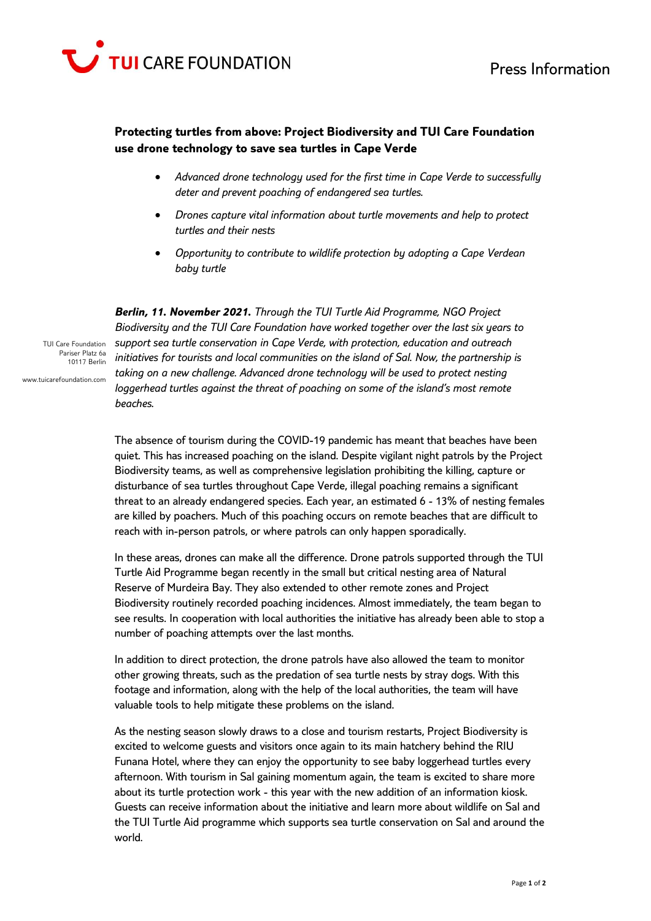

## **Protecting turtles from above: Project Biodiversity and TUI Care Foundation use drone technology to save sea turtles in Cape Verde**

- *Advanced drone technology used for the first time in Cape Verde to successfully deter and prevent poaching of endangered sea turtles.*
- *Drones capture vital information about turtle movements and help to protect turtles and their nests*
- *Opportunity to contribute to wildlife protection by adopting a Cape Verdean baby turtle*

*Berlin, 11. November 2021. Through the TUI Turtle Aid Programme, NGO Project Biodiversity and the TUI Care Foundation have worked together over the last six years to support sea turtle conservation in Cape Verde, with protection, education and outreach initiatives for tourists and local communities on the island of Sal. Now, the partnership is taking on a new challenge. Advanced drone technology will be used to protect nesting loggerhead turtles against the threat of poaching on some of the island's most remote beaches.* 

Pariser Platz 6a 10117 Berlin www.tuicarefoundation.com

TUI Care Foundation

The absence of tourism during the COVID-19 pandemic has meant that beaches have been quiet. This has increased poaching on the island. Despite vigilant night patrols by the Project Biodiversity teams, as well as comprehensive legislation prohibiting the killing, capture or disturbance of sea turtles throughout Cape Verde, illegal poaching remains a significant threat to an already endangered species. Each year, an estimated 6 - 13% of nesting females are killed by poachers. Much of this poaching occurs on remote beaches that are difficult to reach with in-person patrols, or where patrols can only happen sporadically.

In these areas, drones can make all the difference. Drone patrols supported through the TUI Turtle Aid Programme began recently in the small but critical nesting area of Natural Reserve of Murdeira Bay. They also extended to other remote zones and Project Biodiversity routinely recorded poaching incidences. Almost immediately, the team began to see results. In cooperation with local authorities the initiative has already been able to stop a number of poaching attempts over the last months.

In addition to direct protection, the drone patrols have also allowed the team to monitor other growing threats, such as the predation of sea turtle nests by stray dogs. With this footage and information, along with the help of the local authorities, the team will have valuable tools to help mitigate these problems on the island.

As the nesting season slowly draws to a close and tourism restarts, Project Biodiversity is excited to welcome guests and visitors once again to its main hatchery behind the RIU Funana Hotel, where they can enjoy the opportunity to see baby loggerhead turtles every afternoon. With tourism in Sal gaining momentum again, the team is excited to share more about its turtle protection work - this year with the new addition of an information kiosk. Guests can receive information about the initiative and learn more about wildlife on Sal and the TUI Turtle Aid programme which supports sea turtle conservation on Sal and around the world.